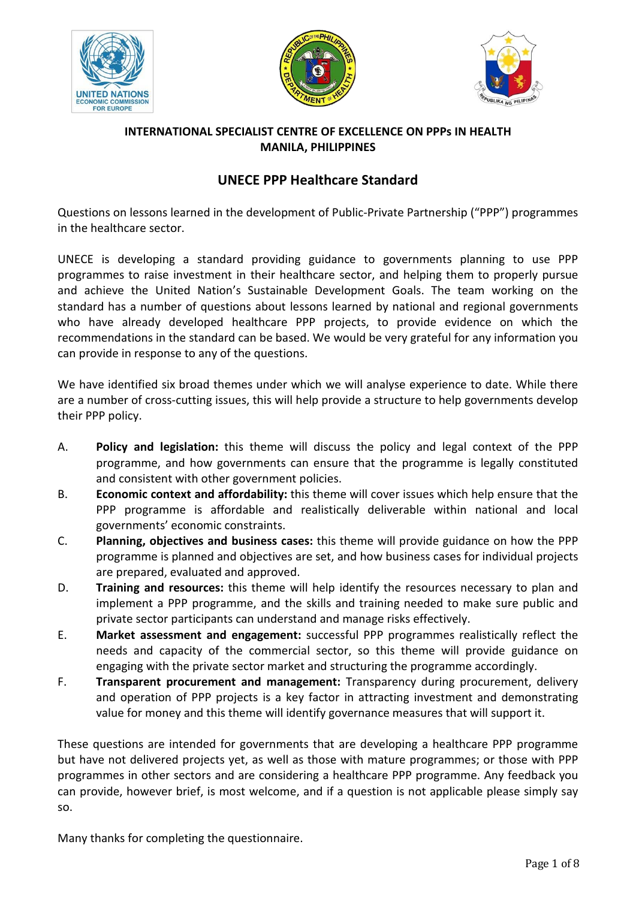





## **INTERNATIONAL SPECIALIST CENTRE OF EXCELLENCE ON PPPs IN HEALTH MANILA, PHILIPPINES**

# **UNECE PPP Healthcare Standard**

Questions on lessons learned in the development of Public-Private Partnership ("PPP") programmes in the healthcare sector.

UNECE is developing a standard providing guidance to governments planning to use PPP programmes to raise investment in their healthcare sector, and helping them to properly pursue and achieve the United Nation's Sustainable Development Goals. The team working on the standard has a number of questions about lessons learned by national and regional governments who have already developed healthcare PPP projects, to provide evidence on which the recommendations in the standard can be based. We would be very grateful for any information you can provide in response to any of the questions.

We have identified six broad themes under which we will analyse experience to date. While there are a number of cross-cutting issues, this will help provide a structure to help governments develop their PPP policy.

- A. **Policy and legislation:** this theme will discuss the policy and legal context of the PPP programme, and how governments can ensure that the programme is legally constituted and consistent with other government policies.
- B. **Economic context and affordability:** this theme will cover issues which help ensure that the PPP programme is affordable and realistically deliverable within national and local governments' economic constraints.
- C. **Planning, objectives and business cases:** this theme will provide guidance on how the PPP programme is planned and objectives are set, and how business cases for individual projects are prepared, evaluated and approved.
- D. **Training and resources:** this theme will help identify the resources necessary to plan and implement a PPP programme, and the skills and training needed to make sure public and private sector participants can understand and manage risks effectively.
- E. **Market assessment and engagement:** successful PPP programmes realistically reflect the needs and capacity of the commercial sector, so this theme will provide guidance on engaging with the private sector market and structuring the programme accordingly.
- F. **Transparent procurement and management:** Transparency during procurement, delivery and operation of PPP projects is a key factor in attracting investment and demonstrating value for money and this theme will identify governance measures that will support it.

These questions are intended for governments that are developing a healthcare PPP programme but have not delivered projects yet, as well as those with mature programmes; or those with PPP programmes in other sectors and are considering a healthcare PPP programme. Any feedback you can provide, however brief, is most welcome, and if a question is not applicable please simply say so.

Many thanks for completing the questionnaire.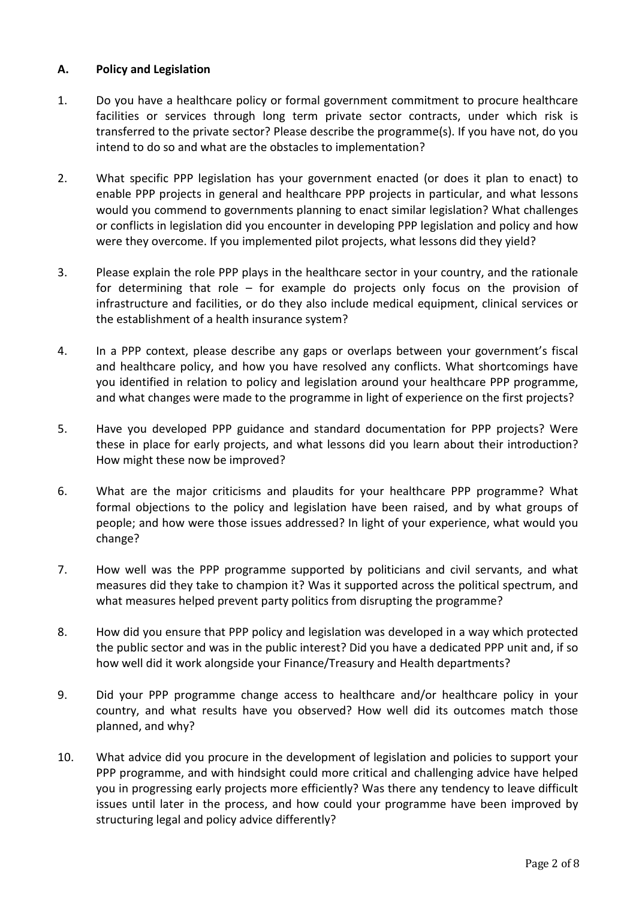### **A. Policy and Legislation**

- 1. Do you have a healthcare policy or formal government commitment to procure healthcare facilities or services through long term private sector contracts, under which risk is transferred to the private sector? Please describe the programme(s). If you have not, do you intend to do so and what are the obstacles to implementation?
- 2. What specific PPP legislation has your government enacted (or does it plan to enact) to enable PPP projects in general and healthcare PPP projects in particular, and what lessons would you commend to governments planning to enact similar legislation? What challenges or conflicts in legislation did you encounter in developing PPP legislation and policy and how were they overcome. If you implemented pilot projects, what lessons did they yield?
- 3. Please explain the role PPP plays in the healthcare sector in your country, and the rationale for determining that role – for example do projects only focus on the provision of infrastructure and facilities, or do they also include medical equipment, clinical services or the establishment of a health insurance system?
- 4. In a PPP context, please describe any gaps or overlaps between your government's fiscal and healthcare policy, and how you have resolved any conflicts. What shortcomings have you identified in relation to policy and legislation around your healthcare PPP programme, and what changes were made to the programme in light of experience on the first projects?
- 5. Have you developed PPP guidance and standard documentation for PPP projects? Were these in place for early projects, and what lessons did you learn about their introduction? How might these now be improved?
- 6. What are the major criticisms and plaudits for your healthcare PPP programme? What formal objections to the policy and legislation have been raised, and by what groups of people; and how were those issues addressed? In light of your experience, what would you change?
- 7. How well was the PPP programme supported by politicians and civil servants, and what measures did they take to champion it? Was it supported across the political spectrum, and what measures helped prevent party politics from disrupting the programme?
- 8. How did you ensure that PPP policy and legislation was developed in a way which protected the public sector and was in the public interest? Did you have a dedicated PPP unit and, if so how well did it work alongside your Finance/Treasury and Health departments?
- 9. Did your PPP programme change access to healthcare and/or healthcare policy in your country, and what results have you observed? How well did its outcomes match those planned, and why?
- 10. What advice did you procure in the development of legislation and policies to support your PPP programme, and with hindsight could more critical and challenging advice have helped you in progressing early projects more efficiently? Was there any tendency to leave difficult issues until later in the process, and how could your programme have been improved by structuring legal and policy advice differently?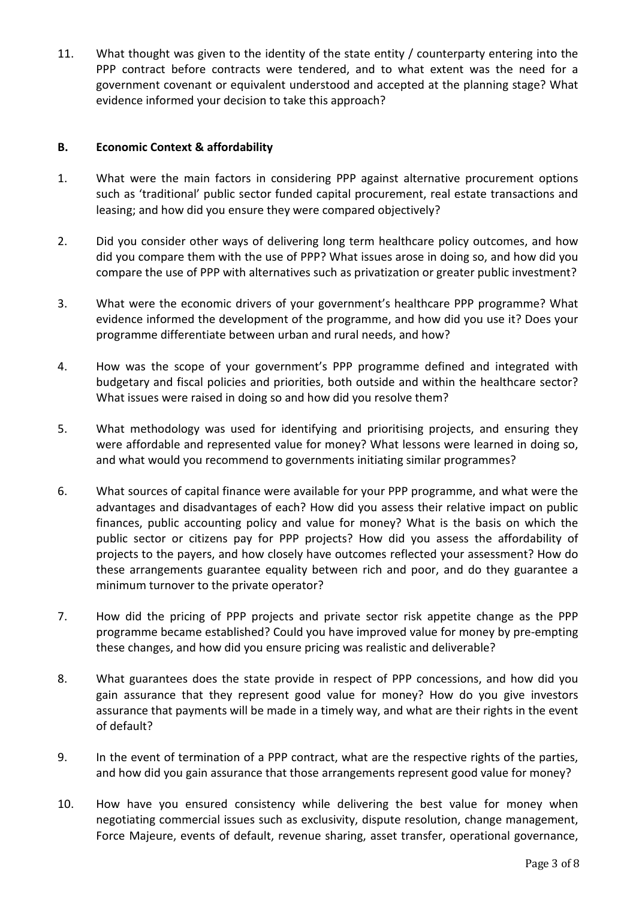11. What thought was given to the identity of the state entity / counterparty entering into the PPP contract before contracts were tendered, and to what extent was the need for a government covenant or equivalent understood and accepted at the planning stage? What evidence informed your decision to take this approach?

#### **B. Economic Context & affordability**

- 1. What were the main factors in considering PPP against alternative procurement options such as 'traditional' public sector funded capital procurement, real estate transactions and leasing; and how did you ensure they were compared objectively?
- 2. Did you consider other ways of delivering long term healthcare policy outcomes, and how did you compare them with the use of PPP? What issues arose in doing so, and how did you compare the use of PPP with alternatives such as privatization or greater public investment?
- 3. What were the economic drivers of your government's healthcare PPP programme? What evidence informed the development of the programme, and how did you use it? Does your programme differentiate between urban and rural needs, and how?
- 4. How was the scope of your government's PPP programme defined and integrated with budgetary and fiscal policies and priorities, both outside and within the healthcare sector? What issues were raised in doing so and how did you resolve them?
- 5. What methodology was used for identifying and prioritising projects, and ensuring they were affordable and represented value for money? What lessons were learned in doing so, and what would you recommend to governments initiating similar programmes?
- 6. What sources of capital finance were available for your PPP programme, and what were the advantages and disadvantages of each? How did you assess their relative impact on public finances, public accounting policy and value for money? What is the basis on which the public sector or citizens pay for PPP projects? How did you assess the affordability of projects to the payers, and how closely have outcomes reflected your assessment? How do these arrangements guarantee equality between rich and poor, and do they guarantee a minimum turnover to the private operator?
- 7. How did the pricing of PPP projects and private sector risk appetite change as the PPP programme became established? Could you have improved value for money by pre-empting these changes, and how did you ensure pricing was realistic and deliverable?
- 8. What guarantees does the state provide in respect of PPP concessions, and how did you gain assurance that they represent good value for money? How do you give investors assurance that payments will be made in a timely way, and what are their rights in the event of default?
- 9. In the event of termination of a PPP contract, what are the respective rights of the parties, and how did you gain assurance that those arrangements represent good value for money?
- 10. How have you ensured consistency while delivering the best value for money when negotiating commercial issues such as exclusivity, dispute resolution, change management, Force Majeure, events of default, revenue sharing, asset transfer, operational governance,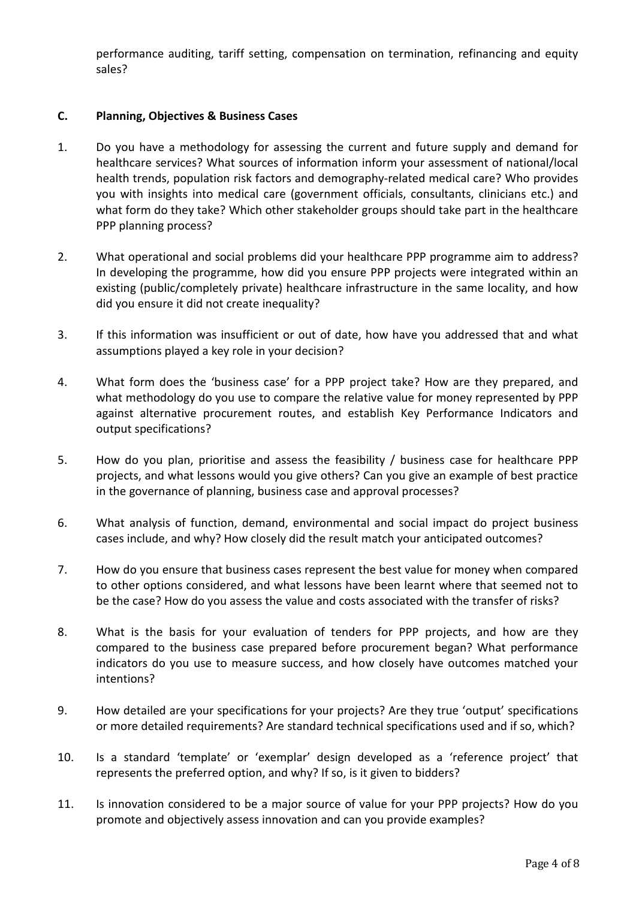performance auditing, tariff setting, compensation on termination, refinancing and equity sales?

#### **C. Planning, Objectives & Business Cases**

- 1. Do you have a methodology for assessing the current and future supply and demand for healthcare services? What sources of information inform your assessment of national/local health trends, population risk factors and demography-related medical care? Who provides you with insights into medical care (government officials, consultants, clinicians etc.) and what form do they take? Which other stakeholder groups should take part in the healthcare PPP planning process?
- 2. What operational and social problems did your healthcare PPP programme aim to address? In developing the programme, how did you ensure PPP projects were integrated within an existing (public/completely private) healthcare infrastructure in the same locality, and how did you ensure it did not create inequality?
- 3. If this information was insufficient or out of date, how have you addressed that and what assumptions played a key role in your decision?
- 4. What form does the 'business case' for a PPP project take? How are they prepared, and what methodology do you use to compare the relative value for money represented by PPP against alternative procurement routes, and establish Key Performance Indicators and output specifications?
- 5. How do you plan, prioritise and assess the feasibility / business case for healthcare PPP projects, and what lessons would you give others? Can you give an example of best practice in the governance of planning, business case and approval processes?
- 6. What analysis of function, demand, environmental and social impact do project business cases include, and why? How closely did the result match your anticipated outcomes?
- 7. How do you ensure that business cases represent the best value for money when compared to other options considered, and what lessons have been learnt where that seemed not to be the case? How do you assess the value and costs associated with the transfer of risks?
- 8. What is the basis for your evaluation of tenders for PPP projects, and how are they compared to the business case prepared before procurement began? What performance indicators do you use to measure success, and how closely have outcomes matched your intentions?
- 9. How detailed are your specifications for your projects? Are they true 'output' specifications or more detailed requirements? Are standard technical specifications used and if so, which?
- 10. Is a standard 'template' or 'exemplar' design developed as a 'reference project' that represents the preferred option, and why? If so, is it given to bidders?
- 11. Is innovation considered to be a major source of value for your PPP projects? How do you promote and objectively assess innovation and can you provide examples?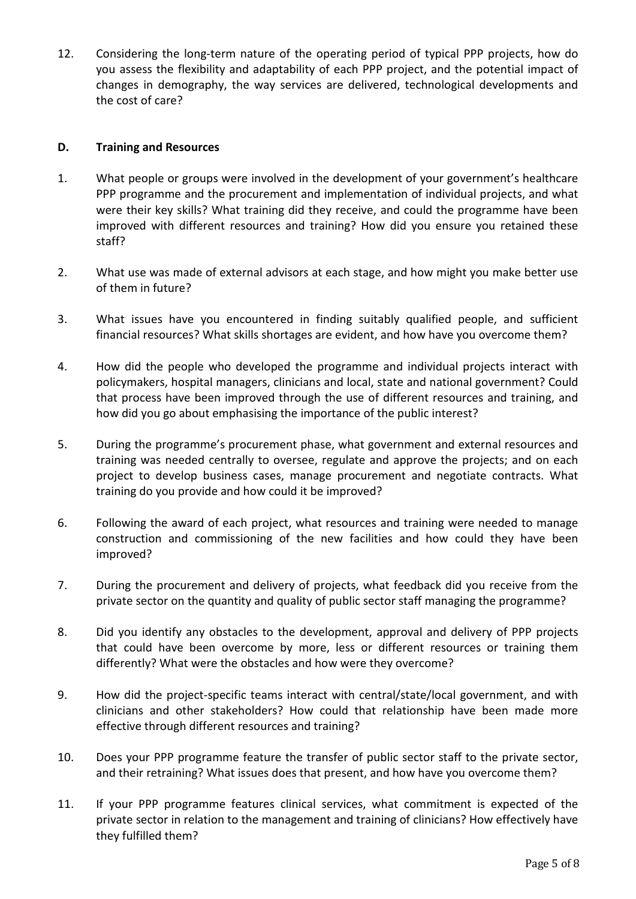12. Considering the long-term nature of the operating period of typical PPP projects, how do you assess the flexibility and adaptability of each PPP project, and the potential impact of changes in demography, the way services are delivered, technological developments and the cost of care?

#### **D. Training and Resources**

- 1. What people or groups were involved in the development of your government's healthcare PPP programme and the procurement and implementation of individual projects, and what were their key skills? What training did they receive, and could the programme have been improved with different resources and training? How did you ensure you retained these staff?
- 2. What use was made of external advisors at each stage, and how might you make better use of them in future?
- 3. What issues have you encountered in finding suitably qualified people, and sufficient financial resources? What skills shortages are evident, and how have you overcome them?
- 4. How did the people who developed the programme and individual projects interact with policymakers, hospital managers, clinicians and local, state and national government? Could that process have been improved through the use of different resources and training, and how did you go about emphasising the importance of the public interest?
- 5. During the programme's procurement phase, what government and external resources and training was needed centrally to oversee, regulate and approve the projects; and on each project to develop business cases, manage procurement and negotiate contracts. What training do you provide and how could it be improved?
- 6. Following the award of each project, what resources and training were needed to manage construction and commissioning of the new facilities and how could they have been improved?
- 7. During the procurement and delivery of projects, what feedback did you receive from the private sector on the quantity and quality of public sector staff managing the programme?
- 8. Did you identify any obstacles to the development, approval and delivery of PPP projects that could have been overcome by more, less or different resources or training them differently? What were the obstacles and how were they overcome?
- 9. How did the project-specific teams interact with central/state/local government, and with clinicians and other stakeholders? How could that relationship have been made more effective through different resources and training?
- 10. Does your PPP programme feature the transfer of public sector staff to the private sector, and their retraining? What issues does that present, and how have you overcome them?
- 11. If your PPP programme features clinical services, what commitment is expected of the private sector in relation to the management and training of clinicians? How effectively have they fulfilled them?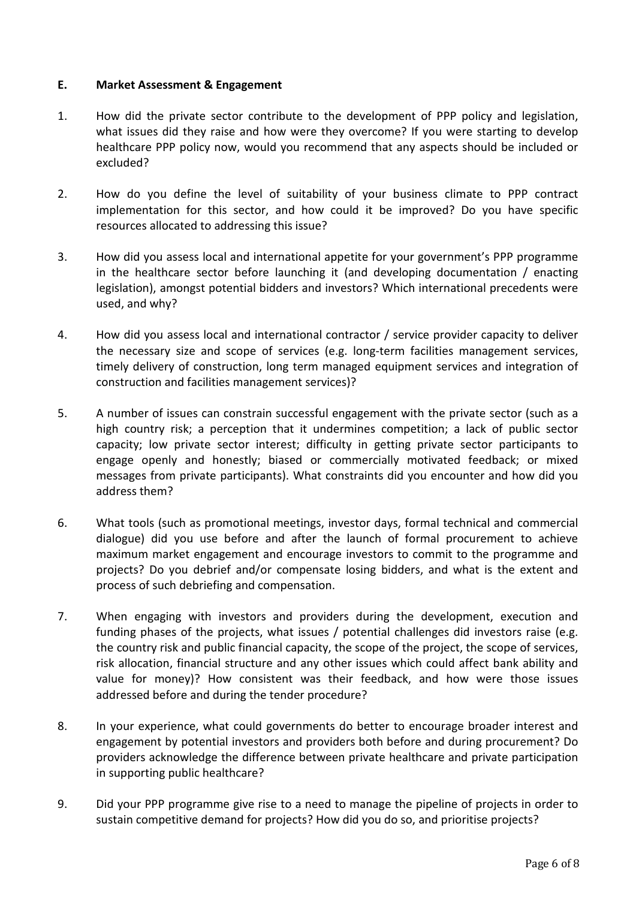#### **E. Market Assessment & Engagement**

- 1. How did the private sector contribute to the development of PPP policy and legislation, what issues did they raise and how were they overcome? If you were starting to develop healthcare PPP policy now, would you recommend that any aspects should be included or excluded?
- 2. How do you define the level of suitability of your business climate to PPP contract implementation for this sector, and how could it be improved? Do you have specific resources allocated to addressing this issue?
- 3. How did you assess local and international appetite for your government's PPP programme in the healthcare sector before launching it (and developing documentation / enacting legislation), amongst potential bidders and investors? Which international precedents were used, and why?
- 4. How did you assess local and international contractor / service provider capacity to deliver the necessary size and scope of services (e.g. long-term facilities management services, timely delivery of construction, long term managed equipment services and integration of construction and facilities management services)?
- 5. A number of issues can constrain successful engagement with the private sector (such as a high country risk; a perception that it undermines competition; a lack of public sector capacity; low private sector interest; difficulty in getting private sector participants to engage openly and honestly; biased or commercially motivated feedback; or mixed messages from private participants). What constraints did you encounter and how did you address them?
- 6. What tools (such as promotional meetings, investor days, formal technical and commercial dialogue) did you use before and after the launch of formal procurement to achieve maximum market engagement and encourage investors to commit to the programme and projects? Do you debrief and/or compensate losing bidders, and what is the extent and process of such debriefing and compensation.
- 7. When engaging with investors and providers during the development, execution and funding phases of the projects, what issues / potential challenges did investors raise (e.g. the country risk and public financial capacity, the scope of the project, the scope of services, risk allocation, financial structure and any other issues which could affect bank ability and value for money)? How consistent was their feedback, and how were those issues addressed before and during the tender procedure?
- 8. In your experience, what could governments do better to encourage broader interest and engagement by potential investors and providers both before and during procurement? Do providers acknowledge the difference between private healthcare and private participation in supporting public healthcare?
- 9. Did your PPP programme give rise to a need to manage the pipeline of projects in order to sustain competitive demand for projects? How did you do so, and prioritise projects?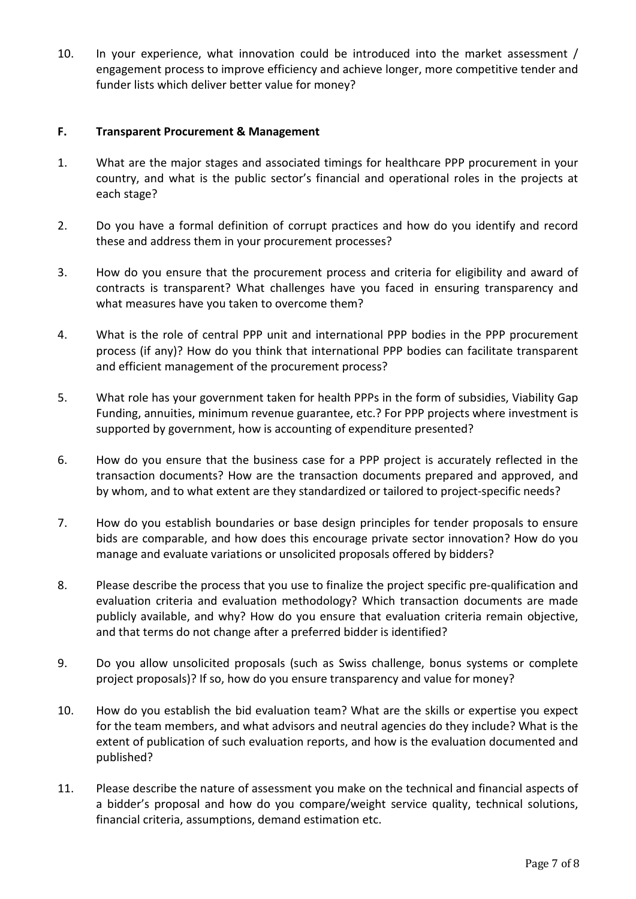10. In your experience, what innovation could be introduced into the market assessment / engagement process to improve efficiency and achieve longer, more competitive tender and funder lists which deliver better value for money?

#### **F. Transparent Procurement & Management**

- 1. What are the major stages and associated timings for healthcare PPP procurement in your country, and what is the public sector's financial and operational roles in the projects at each stage?
- 2. Do you have a formal definition of corrupt practices and how do you identify and record these and address them in your procurement processes?
- 3. How do you ensure that the procurement process and criteria for eligibility and award of contracts is transparent? What challenges have you faced in ensuring transparency and what measures have you taken to overcome them?
- 4. What is the role of central PPP unit and international PPP bodies in the PPP procurement process (if any)? How do you think that international PPP bodies can facilitate transparent and efficient management of the procurement process?
- 5. What role has your government taken for health PPPs in the form of subsidies, Viability Gap Funding, annuities, minimum revenue guarantee, etc.? For PPP projects where investment is supported by government, how is accounting of expenditure presented?
- 6. How do you ensure that the business case for a PPP project is accurately reflected in the transaction documents? How are the transaction documents prepared and approved, and by whom, and to what extent are they standardized or tailored to project-specific needs?
- 7. How do you establish boundaries or base design principles for tender proposals to ensure bids are comparable, and how does this encourage private sector innovation? How do you manage and evaluate variations or unsolicited proposals offered by bidders?
- 8. Please describe the process that you use to finalize the project specific pre-qualification and evaluation criteria and evaluation methodology? Which transaction documents are made publicly available, and why? How do you ensure that evaluation criteria remain objective, and that terms do not change after a preferred bidder is identified?
- 9. Do you allow unsolicited proposals (such as Swiss challenge, bonus systems or complete project proposals)? If so, how do you ensure transparency and value for money?
- 10. How do you establish the bid evaluation team? What are the skills or expertise you expect for the team members, and what advisors and neutral agencies do they include? What is the extent of publication of such evaluation reports, and how is the evaluation documented and published?
- 11. Please describe the nature of assessment you make on the technical and financial aspects of a bidder's proposal and how do you compare/weight service quality, technical solutions, financial criteria, assumptions, demand estimation etc.